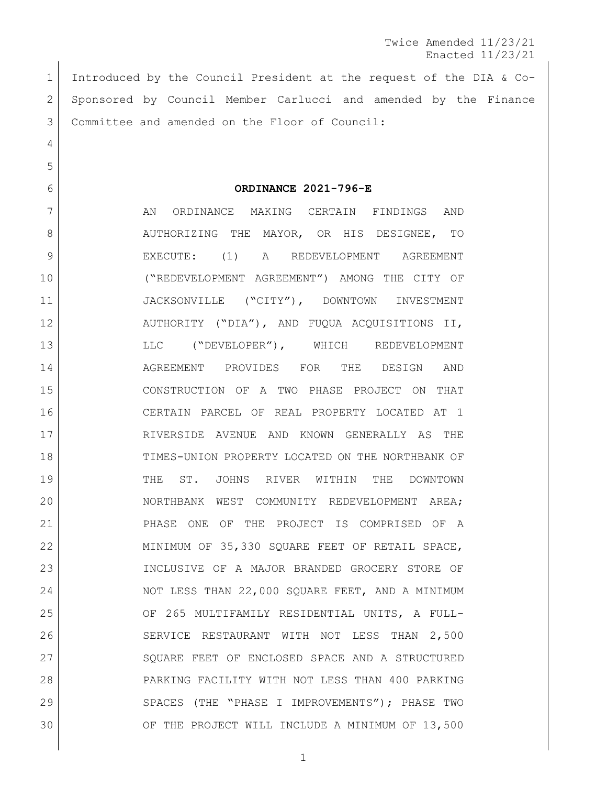Introduced by the Council President at the request of the DIA & Co- Sponsored by Council Member Carlucci and amended by the Finance Committee and amended on the Floor of Council:

**ORDINANCE 2021-796-E**

 AN ORDINANCE MAKING CERTAIN FINDINGS AND 8 AUTHORIZING THE MAYOR, OR HIS DESIGNEE, TO EXECUTE: (1) A REDEVELOPMENT AGREEMENT ("REDEVELOPMENT AGREEMENT") AMONG THE CITY OF 11 | JACKSONVILLE ("CITY"), DOWNTOWN INVESTMENT AUTHORITY ("DIA"), AND FUQUA ACQUISITIONS II, 13 LLC ("DEVELOPER"), WHICH REDEVELOPMENT AGREEMENT PROVIDES FOR THE DESIGN AND CONSTRUCTION OF A TWO PHASE PROJECT ON THAT CERTAIN PARCEL OF REAL PROPERTY LOCATED AT 1 RIVERSIDE AVENUE AND KNOWN GENERALLY AS THE TIMES-UNION PROPERTY LOCATED ON THE NORTHBANK OF THE ST. JOHNS RIVER WITHIN THE DOWNTOWN NORTHBANK WEST COMMUNITY REDEVELOPMENT AREA; PHASE ONE OF THE PROJECT IS COMPRISED OF A 22 MINIMUM OF 35,330 SQUARE FEET OF RETAIL SPACE, INCLUSIVE OF A MAJOR BRANDED GROCERY STORE OF 24 NOT LESS THAN 22,000 SQUARE FEET, AND A MINIMUM OF 265 MULTIFAMILY RESIDENTIAL UNITS, A FULL- SERVICE RESTAURANT WITH NOT LESS THAN 2,500 27 | SQUARE FEET OF ENCLOSED SPACE AND A STRUCTURED PARKING FACILITY WITH NOT LESS THAN 400 PARKING SPACES (THE "PHASE I IMPROVEMENTS"); PHASE TWO OF THE PROJECT WILL INCLUDE A MINIMUM OF 13,500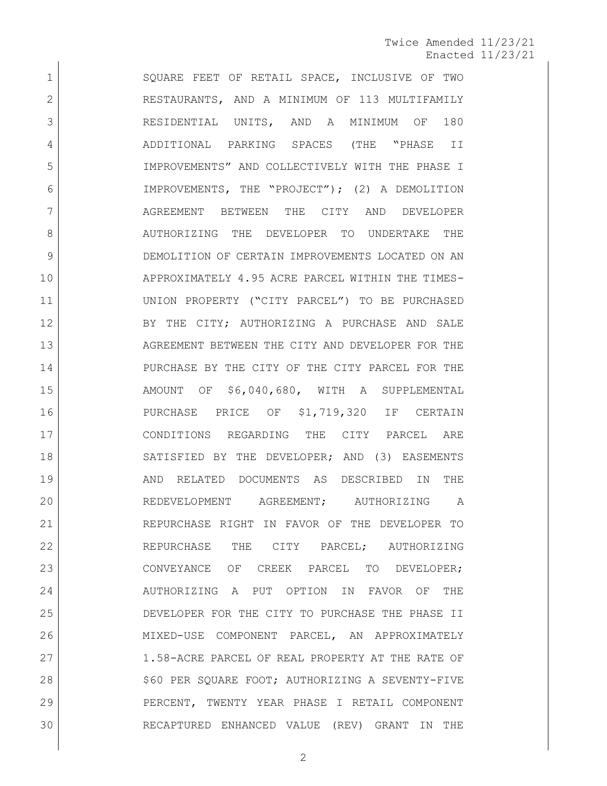1 SQUARE FEET OF RETAIL SPACE, INCLUSIVE OF TWO 2 RESTAURANTS, AND A MINIMUM OF 113 MULTIFAMILY RESIDENTIAL UNITS, AND A MINIMUM OF 180 ADDITIONAL PARKING SPACES (THE "PHASE II IMPROVEMENTS" AND COLLECTIVELY WITH THE PHASE I IMPROVEMENTS, THE "PROJECT"); (2) A DEMOLITION AGREEMENT BETWEEN THE CITY AND DEVELOPER 8 AUTHORIZING THE DEVELOPER TO UNDERTAKE THE DEMOLITION OF CERTAIN IMPROVEMENTS LOCATED ON AN APPROXIMATELY 4.95 ACRE PARCEL WITHIN THE TIMES- UNION PROPERTY ("CITY PARCEL") TO BE PURCHASED 12 BY THE CITY; AUTHORIZING A PURCHASE AND SALE 13 AGREEMENT BETWEEN THE CITY AND DEVELOPER FOR THE PURCHASE BY THE CITY OF THE CITY PARCEL FOR THE AMOUNT OF \$6,040,680, WITH A SUPPLEMENTAL PURCHASE PRICE OF \$1,719,320 IF CERTAIN CONDITIONS REGARDING THE CITY PARCEL ARE 18 SATISFIED BY THE DEVELOPER; AND (3) EASEMENTS AND RELATED DOCUMENTS AS DESCRIBED IN THE REDEVELOPMENT AGREEMENT; AUTHORIZING A REPURCHASE RIGHT IN FAVOR OF THE DEVELOPER TO 22 REPURCHASE THE CITY PARCEL; AUTHORIZING CONVEYANCE OF CREEK PARCEL TO DEVELOPER; 24 AUTHORIZING A PUT OPTION IN FAVOR OF THE DEVELOPER FOR THE CITY TO PURCHASE THE PHASE II MIXED-USE COMPONENT PARCEL, AN APPROXIMATELY 27 1.58-ACRE PARCEL OF REAL PROPERTY AT THE RATE OF 28 | \$60 PER SQUARE FOOT; AUTHORIZING A SEVENTY-FIVE PERCENT, TWENTY YEAR PHASE I RETAIL COMPONENT RECAPTURED ENHANCED VALUE (REV) GRANT IN THE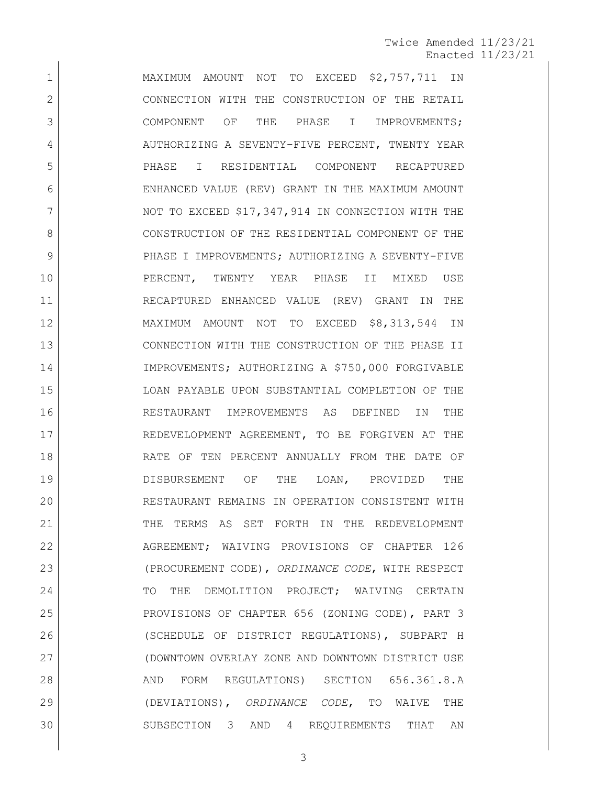1 MAXIMUM AMOUNT NOT TO EXCEED \$2,757,711 IN 2 CONNECTION WITH THE CONSTRUCTION OF THE RETAIL 3 COMPONENT OF THE PHASE I IMPROVEMENTS; 4 AUTHORIZING A SEVENTY-FIVE PERCENT, TWENTY YEAR 5 PHASE I RESIDENTIAL COMPONENT RECAPTURED 6 ENHANCED VALUE (REV) GRANT IN THE MAXIMUM AMOUNT 7 NOT TO EXCEED \$17,347,914 IN CONNECTION WITH THE 8 CONSTRUCTION OF THE RESIDENTIAL COMPONENT OF THE 9 PHASE I IMPROVEMENTS; AUTHORIZING A SEVENTY-FIVE 10 PERCENT, TWENTY YEAR PHASE II MIXED USE 11 RECAPTURED ENHANCED VALUE (REV) GRANT IN THE 12 MAXIMUM AMOUNT NOT TO EXCEED \$8,313,544 IN 13 CONNECTION WITH THE CONSTRUCTION OF THE PHASE II 14 IMPROVEMENTS; AUTHORIZING A \$750,000 FORGIVABLE 15 LOAN PAYABLE UPON SUBSTANTIAL COMPLETION OF THE 16 RESTAURANT IMPROVEMENTS AS DEFINED IN THE 17 REDEVELOPMENT AGREEMENT, TO BE FORGIVEN AT THE 18 RATE OF TEN PERCENT ANNUALLY FROM THE DATE OF 19 DISBURSEMENT OF THE LOAN, PROVIDED THE 20 RESTAURANT REMAINS IN OPERATION CONSISTENT WITH 21 THE TERMS AS SET FORTH IN THE REDEVELOPMENT 22 AGREEMENT; WAIVING PROVISIONS OF CHAPTER 126 23 (PROCUREMENT CODE), *ORDINANCE CODE*, WITH RESPECT 24 TO THE DEMOLITION PROJECT; WAIVING CERTAIN 25 PROVISIONS OF CHAPTER 656 (ZONING CODE), PART 3 26 (SCHEDULE OF DISTRICT REGULATIONS), SUBPART H 27 (DOWNTOWN OVERLAY ZONE AND DOWNTOWN DISTRICT USE 28 AND FORM REGULATIONS) SECTION 656.361.8.A 29 (DEVIATIONS), *ORDINANCE CODE*, TO WAIVE THE 30 SUBSECTION 3 AND 4 REQUIREMENTS THAT AN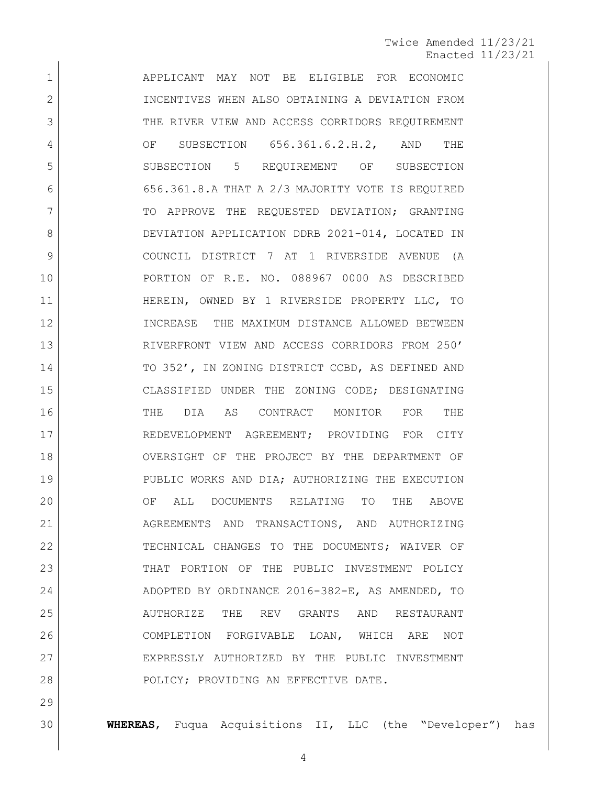APPLICANT MAY NOT BE ELIGIBLE FOR ECONOMIC 2 INCENTIVES WHEN ALSO OBTAINING A DEVIATION FROM 3 THE RIVER VIEW AND ACCESS CORRIDORS REQUIREMENT OF SUBSECTION 656.361.6.2.H.2, AND THE SUBSECTION 5 REQUIREMENT OF SUBSECTION 656.361.8.A THAT A 2/3 MAJORITY VOTE IS REQUIRED 7 TO APPROVE THE REQUESTED DEVIATION; GRANTING 8 DEVIATION APPLICATION DDRB 2021-014, LOCATED IN COUNCIL DISTRICT 7 AT 1 RIVERSIDE AVENUE (A PORTION OF R.E. NO. 088967 0000 AS DESCRIBED HEREIN, OWNED BY 1 RIVERSIDE PROPERTY LLC, TO INCREASE THE MAXIMUM DISTANCE ALLOWED BETWEEN RIVERFRONT VIEW AND ACCESS CORRIDORS FROM 250' 14 TO 352', IN ZONING DISTRICT CCBD, AS DEFINED AND CLASSIFIED UNDER THE ZONING CODE; DESIGNATING THE DIA AS CONTRACT MONITOR FOR THE 17 REDEVELOPMENT AGREEMENT; PROVIDING FOR CITY OVERSIGHT OF THE PROJECT BY THE DEPARTMENT OF PUBLIC WORKS AND DIA; AUTHORIZING THE EXECUTION OF ALL DOCUMENTS RELATING TO THE ABOVE 21 AGREEMENTS AND TRANSACTIONS, AND AUTHORIZING 22 TECHNICAL CHANGES TO THE DOCUMENTS; WAIVER OF THAT PORTION OF THE PUBLIC INVESTMENT POLICY 24 ADOPTED BY ORDINANCE 2016-382-E, AS AMENDED, TO AUTHORIZE THE REV GRANTS AND RESTAURANT COMPLETION FORGIVABLE LOAN, WHICH ARE NOT EXPRESSLY AUTHORIZED BY THE PUBLIC INVESTMENT 28 | POLICY; PROVIDING AN EFFECTIVE DATE.

**WHEREAS**, Fuqua Acquisitions II, LLC (the "Developer") has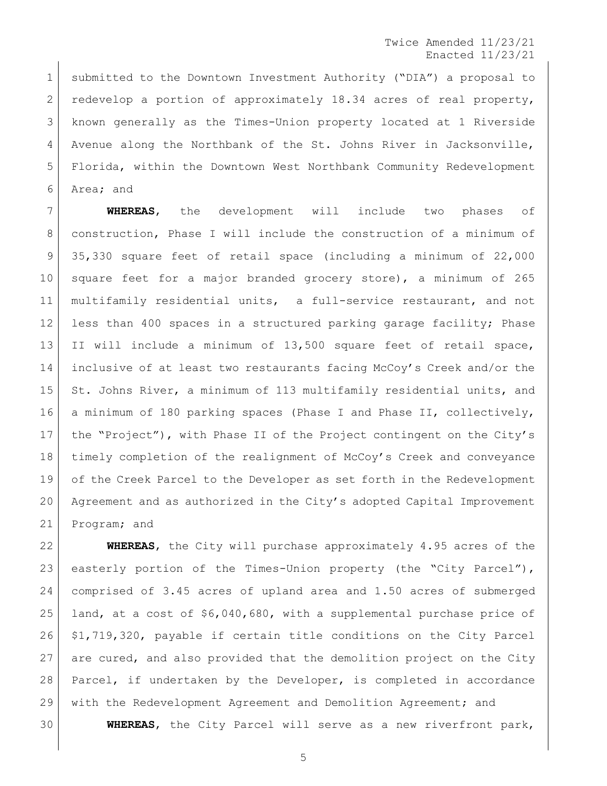1 submitted to the Downtown Investment Authority ("DIA") a proposal to redevelop a portion of approximately 18.34 acres of real property, known generally as the Times-Union property located at 1 Riverside Avenue along the Northbank of the St. Johns River in Jacksonville, Florida, within the Downtown West Northbank Community Redevelopment Area; and

 **WHEREAS**, the development will include two phases of construction, Phase I will include the construction of a minimum of 35,330 square feet of retail space (including a minimum of 22,000 10 square feet for a major branded grocery store), a minimum of 265 multifamily residential units, a full-service restaurant, and not less than 400 spaces in a structured parking garage facility; Phase II will include a minimum of 13,500 square feet of retail space, inclusive of at least two restaurants facing McCoy's Creek and/or the 15 St. Johns River, a minimum of 113 multifamily residential units, and a minimum of 180 parking spaces (Phase I and Phase II, collectively, the "Project"), with Phase II of the Project contingent on the City's timely completion of the realignment of McCoy's Creek and conveyance of the Creek Parcel to the Developer as set forth in the Redevelopment Agreement and as authorized in the City's adopted Capital Improvement Program; and

 **WHEREAS**, the City will purchase approximately 4.95 acres of the easterly portion of the Times-Union property (the "City Parcel"), comprised of 3.45 acres of upland area and 1.50 acres of submerged land, at a cost of \$6,040,680, with a supplemental purchase price of \$1,719,320, payable if certain title conditions on the City Parcel are cured, and also provided that the demolition project on the City Parcel, if undertaken by the Developer, is completed in accordance with the Redevelopment Agreement and Demolition Agreement; and **WHEREAS**, the City Parcel will serve as a new riverfront park,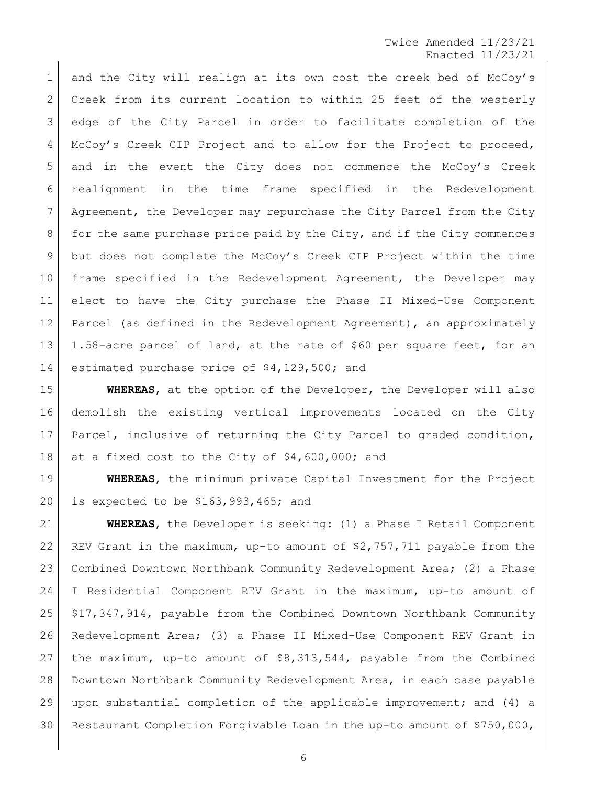1 and the City will realign at its own cost the creek bed of McCoy's 2 Creek from its current location to within 25 feet of the westerly edge of the City Parcel in order to facilitate completion of the McCoy's Creek CIP Project and to allow for the Project to proceed, and in the event the City does not commence the McCoy's Creek realignment in the time frame specified in the Redevelopment Agreement, the Developer may repurchase the City Parcel from the City 8 for the same purchase price paid by the City, and if the City commences but does not complete the McCoy's Creek CIP Project within the time frame specified in the Redevelopment Agreement, the Developer may elect to have the City purchase the Phase II Mixed-Use Component 12 Parcel (as defined in the Redevelopment Agreement), an approximately 1.58-acre parcel of land, at the rate of \$60 per square feet, for an estimated purchase price of \$4,129,500; and

 **WHEREAS**, at the option of the Developer, the Developer will also demolish the existing vertical improvements located on the City 17 | Parcel, inclusive of returning the City Parcel to graded condition, 18 at a fixed cost to the City of \$4,600,000; and

 **WHEREAS**, the minimum private Capital Investment for the Project is expected to be \$163,993,465; and

 **WHEREAS**, the Developer is seeking: (1) a Phase I Retail Component REV Grant in the maximum, up-to amount of \$2,757,711 payable from the Combined Downtown Northbank Community Redevelopment Area; (2) a Phase I Residential Component REV Grant in the maximum, up-to amount of \$17,347,914, payable from the Combined Downtown Northbank Community Redevelopment Area; (3) a Phase II Mixed-Use Component REV Grant in the maximum, up-to amount of \$8,313,544, payable from the Combined Downtown Northbank Community Redevelopment Area, in each case payable upon substantial completion of the applicable improvement; and (4) a Restaurant Completion Forgivable Loan in the up-to amount of \$750,000,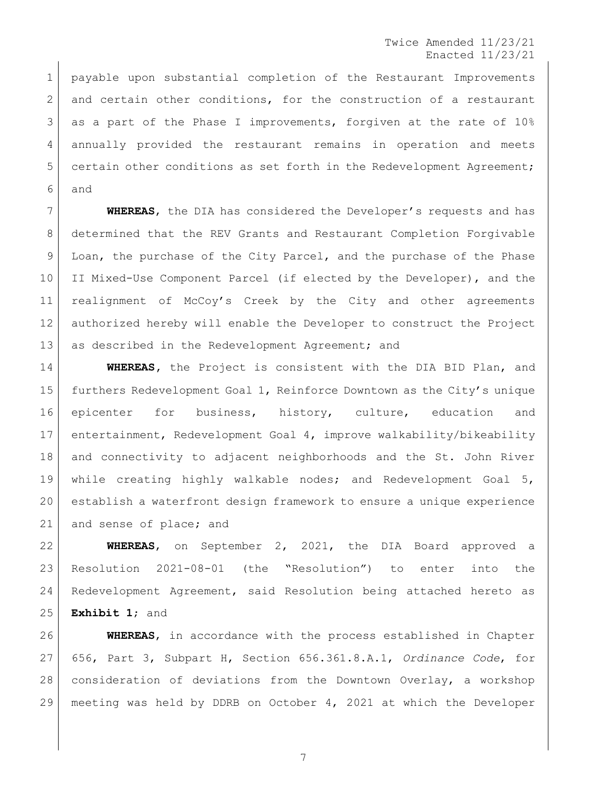1 | payable upon substantial completion of the Restaurant Improvements 2 and certain other conditions, for the construction of a restaurant 3 as a part of the Phase I improvements, forgiven at the rate of 10% annually provided the restaurant remains in operation and meets 5 certain other conditions as set forth in the Redevelopment Agreement; and

 **WHEREAS**, the DIA has considered the Developer's requests and has determined that the REV Grants and Restaurant Completion Forgivable 9 Loan, the purchase of the City Parcel, and the purchase of the Phase 10 II Mixed-Use Component Parcel (if elected by the Developer), and the realignment of McCoy's Creek by the City and other agreements authorized hereby will enable the Developer to construct the Project 13 as described in the Redevelopment Agreement; and

 **WHEREAS,** the Project is consistent with the DIA BID Plan, and furthers Redevelopment Goal 1, Reinforce Downtown as the City's unique epicenter for business, history, culture, education and entertainment, Redevelopment Goal 4, improve walkability/bikeability and connectivity to adjacent neighborhoods and the St. John River while creating highly walkable nodes; and Redevelopment Goal 5, establish a waterfront design framework to ensure a unique experience 21 and sense of place; and

 **WHEREAS**, on September 2, 2021, the DIA Board approved a Resolution 2021-08-01 (the "Resolution") to enter into the Redevelopment Agreement, said Resolution being attached hereto as **Exhibit 1**; and

 **WHEREAS**, in accordance with the process established in Chapter 656, Part 3, Subpart H, Section 656.361.8.A.1, *Ordinance Code*, for consideration of deviations from the Downtown Overlay, a workshop meeting was held by DDRB on October 4, 2021 at which the Developer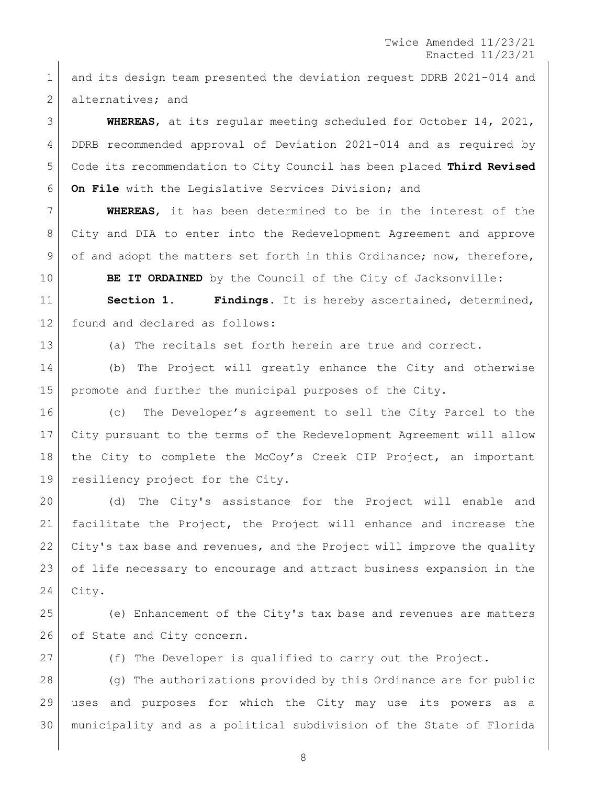and its design team presented the deviation request DDRB 2021-014 and 2 alternatives; and

 **WHEREAS**, at its regular meeting scheduled for October 14, 2021, DDRB recommended approval of Deviation 2021-014 and as required by Code its recommendation to City Council has been placed **Third Revised On File** with the Legislative Services Division; and

 **WHEREAS**, it has been determined to be in the interest of the City and DIA to enter into the Redevelopment Agreement and approve 9 of and adopt the matters set forth in this Ordinance; now, therefore,

**BE IT ORDAINED** by the Council of the City of Jacksonville:

 **Section 1. Findings.** It is hereby ascertained, determined, found and declared as follows:

(a) The recitals set forth herein are true and correct.

 (b) The Project will greatly enhance the City and otherwise promote and further the municipal purposes of the City.

 (c) The Developer's agreement to sell the City Parcel to the City pursuant to the terms of the Redevelopment Agreement will allow the City to complete the McCoy's Creek CIP Project, an important resiliency project for the City.

 (d) The City's assistance for the Project will enable and facilitate the Project, the Project will enhance and increase the City's tax base and revenues, and the Project will improve the quality of life necessary to encourage and attract business expansion in the City.

 (e) Enhancement of the City's tax base and revenues are matters 26 of State and City concern.

(f) The Developer is qualified to carry out the Project.

 (g) The authorizations provided by this Ordinance are for public uses and purposes for which the City may use its powers as a municipality and as a political subdivision of the State of Florida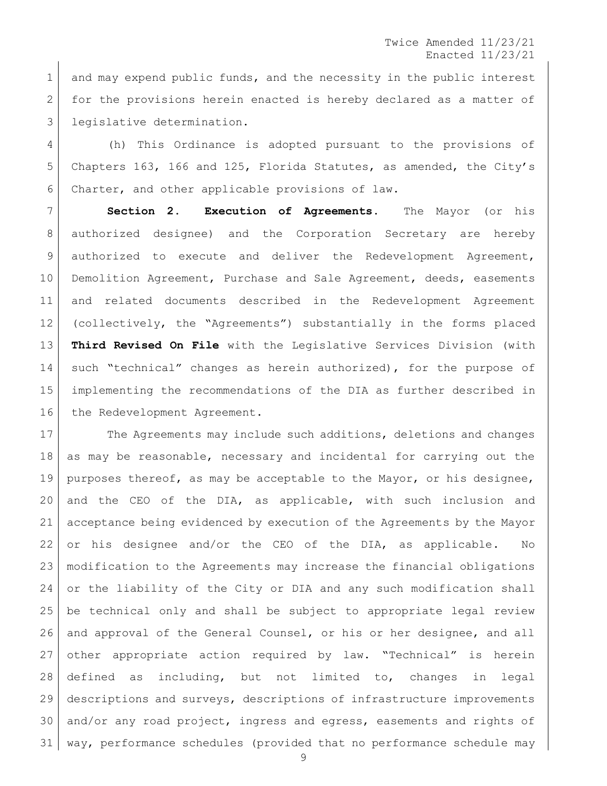1 and may expend public funds, and the necessity in the public interest 2 for the provisions herein enacted is hereby declared as a matter of 3 legislative determination.

 (h) This Ordinance is adopted pursuant to the provisions of Chapters 163, 166 and 125, Florida Statutes, as amended, the City's Charter, and other applicable provisions of law.

 **Section 2. Execution of Agreements.** The Mayor (or his authorized designee) and the Corporation Secretary are hereby authorized to execute and deliver the Redevelopment Agreement, 10 Demolition Agreement, Purchase and Sale Agreement, deeds, easements and related documents described in the Redevelopment Agreement (collectively, the "Agreements") substantially in the forms placed **Third Revised On File** with the Legislative Services Division (with 14 such "technical" changes as herein authorized), for the purpose of implementing the recommendations of the DIA as further described in 16 the Redevelopment Agreement.

17 The Agreements may include such additions, deletions and changes as may be reasonable, necessary and incidental for carrying out the purposes thereof, as may be acceptable to the Mayor, or his designee, and the CEO of the DIA, as applicable, with such inclusion and acceptance being evidenced by execution of the Agreements by the Mayor or his designee and/or the CEO of the DIA, as applicable. No modification to the Agreements may increase the financial obligations or the liability of the City or DIA and any such modification shall be technical only and shall be subject to appropriate legal review 26 and approval of the General Counsel, or his or her designee, and all other appropriate action required by law. "Technical" is herein defined as including, but not limited to, changes in legal descriptions and surveys, descriptions of infrastructure improvements and/or any road project, ingress and egress, easements and rights of way, performance schedules (provided that no performance schedule may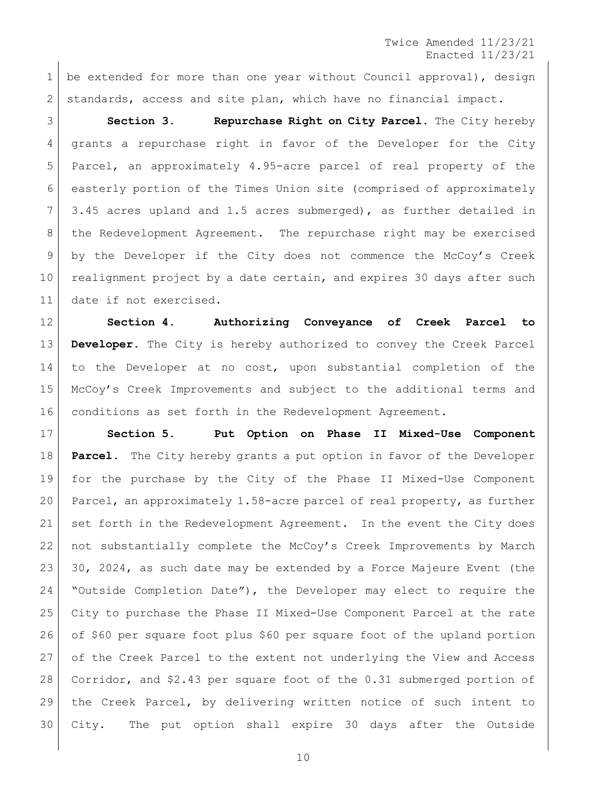1 be extended for more than one year without Council approval), design standards, access and site plan, which have no financial impact.

 **Section 3. Repurchase Right on City Parcel.** The City hereby grants a repurchase right in favor of the Developer for the City Parcel, an approximately 4.95-acre parcel of real property of the easterly portion of the Times Union site (comprised of approximately 3.45 acres upland and 1.5 acres submerged), as further detailed in the Redevelopment Agreement. The repurchase right may be exercised by the Developer if the City does not commence the McCoy's Creek 10 realignment project by a date certain, and expires 30 days after such date if not exercised.

 **Section 4. Authorizing Conveyance of Creek Parcel to Developer.** The City is hereby authorized to convey the Creek Parcel to the Developer at no cost, upon substantial completion of the McCoy's Creek Improvements and subject to the additional terms and conditions as set forth in the Redevelopment Agreement.

 **Section 5. Put Option on Phase II Mixed-Use Component Parcel.** The City hereby grants a put option in favor of the Developer for the purchase by the City of the Phase II Mixed-Use Component Parcel, an approximately 1.58-acre parcel of real property, as further set forth in the Redevelopment Agreement. In the event the City does 22 | not substantially complete the McCoy's Creek Improvements by March 30, 2024, as such date may be extended by a Force Majeure Event (the "Outside Completion Date"), the Developer may elect to require the City to purchase the Phase II Mixed-Use Component Parcel at the rate of \$60 per square foot plus \$60 per square foot of the upland portion of the Creek Parcel to the extent not underlying the View and Access Corridor, and \$2.43 per square foot of the 0.31 submerged portion of the Creek Parcel, by delivering written notice of such intent to City. The put option shall expire 30 days after the Outside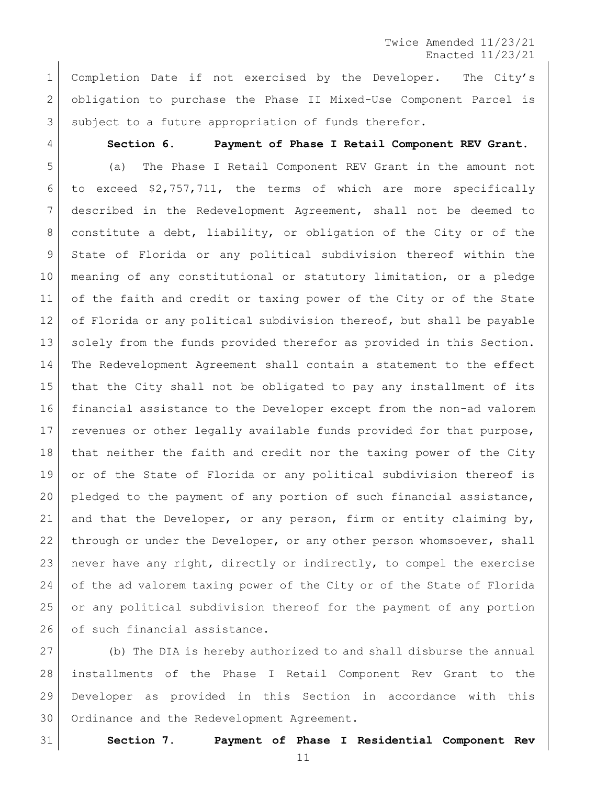Completion Date if not exercised by the Developer. The City's obligation to purchase the Phase II Mixed-Use Component Parcel is 3 subject to a future appropriation of funds therefor.

## **Section 6. Payment of Phase I Retail Component REV Grant.**

 (a) The Phase I Retail Component REV Grant in the amount not to exceed \$2,757,711, the terms of which are more specifically described in the Redevelopment Agreement, shall not be deemed to constitute a debt, liability, or obligation of the City or of the State of Florida or any political subdivision thereof within the meaning of any constitutional or statutory limitation, or a pledge of the faith and credit or taxing power of the City or of the State 12 of Florida or any political subdivision thereof, but shall be payable solely from the funds provided therefor as provided in this Section. The Redevelopment Agreement shall contain a statement to the effect that the City shall not be obligated to pay any installment of its financial assistance to the Developer except from the non-ad valorem revenues or other legally available funds provided for that purpose, that neither the faith and credit nor the taxing power of the City or of the State of Florida or any political subdivision thereof is 20 pledged to the payment of any portion of such financial assistance, and that the Developer, or any person, firm or entity claiming by, 22 through or under the Developer, or any other person whomsoever, shall never have any right, directly or indirectly, to compel the exercise of the ad valorem taxing power of the City or of the State of Florida or any political subdivision thereof for the payment of any portion 26 of such financial assistance.

 (b) The DIA is hereby authorized to and shall disburse the annual installments of the Phase I Retail Component Rev Grant to the Developer as provided in this Section in accordance with this 30 Ordinance and the Redevelopment Agreement.

**Section 7. Payment of Phase I Residential Component Rev**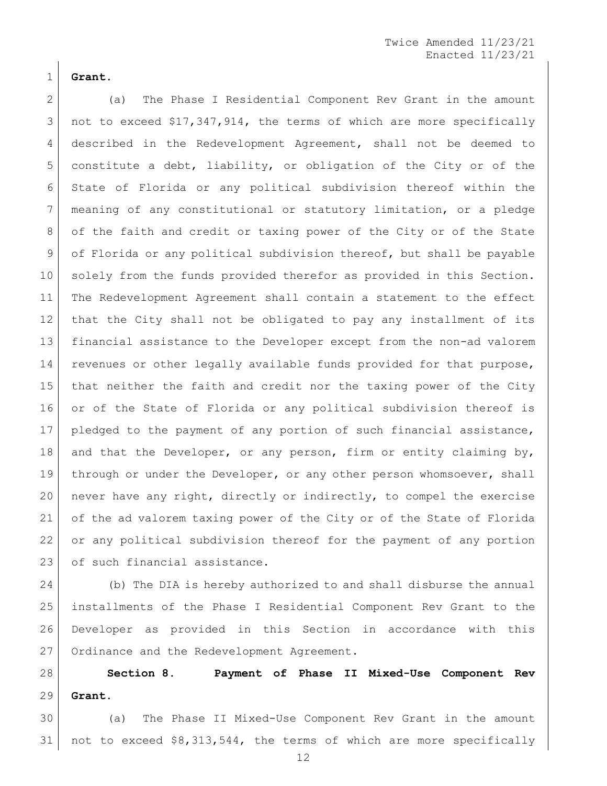**Grant.**

 (a) The Phase I Residential Component Rev Grant in the amount not to exceed \$17,347,914, the terms of which are more specifically 4 described in the Redevelopment Agreement, shall not be deemed to 5 constitute a debt, liability, or obligation of the City or of the State of Florida or any political subdivision thereof within the meaning of any constitutional or statutory limitation, or a pledge 8 of the faith and credit or taxing power of the City or of the State of Florida or any political subdivision thereof, but shall be payable solely from the funds provided therefor as provided in this Section. The Redevelopment Agreement shall contain a statement to the effect that the City shall not be obligated to pay any installment of its financial assistance to the Developer except from the non-ad valorem revenues or other legally available funds provided for that purpose, that neither the faith and credit nor the taxing power of the City or of the State of Florida or any political subdivision thereof is pledged to the payment of any portion of such financial assistance, 18 and that the Developer, or any person, firm or entity claiming by, 19 through or under the Developer, or any other person whomsoever, shall never have any right, directly or indirectly, to compel the exercise of the ad valorem taxing power of the City or of the State of Florida or any political subdivision thereof for the payment of any portion 23 of such financial assistance.

 (b) The DIA is hereby authorized to and shall disburse the annual installments of the Phase I Residential Component Rev Grant to the Developer as provided in this Section in accordance with this 27 Ordinance and the Redevelopment Agreement.

 **Section 8. Payment of Phase II Mixed-Use Component Rev Grant.**

 (a) The Phase II Mixed-Use Component Rev Grant in the amount not to exceed \$8,313,544, the terms of which are more specifically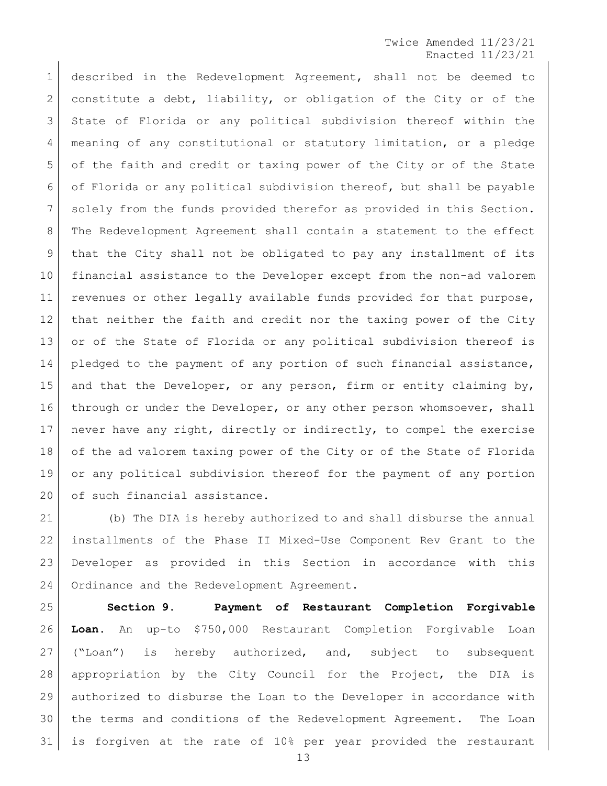described in the Redevelopment Agreement, shall not be deemed to constitute a debt, liability, or obligation of the City or of the State of Florida or any political subdivision thereof within the meaning of any constitutional or statutory limitation, or a pledge of the faith and credit or taxing power of the City or of the State of Florida or any political subdivision thereof, but shall be payable solely from the funds provided therefor as provided in this Section. The Redevelopment Agreement shall contain a statement to the effect that the City shall not be obligated to pay any installment of its financial assistance to the Developer except from the non-ad valorem revenues or other legally available funds provided for that purpose, 12 | that neither the faith and credit nor the taxing power of the City 13 or of the State of Florida or any political subdivision thereof is 14 pledged to the payment of any portion of such financial assistance, 15 and that the Developer, or any person, firm or entity claiming by, 16 through or under the Developer, or any other person whomsoever, shall never have any right, directly or indirectly, to compel the exercise of the ad valorem taxing power of the City or of the State of Florida or any political subdivision thereof for the payment of any portion 20 of such financial assistance.

 (b) The DIA is hereby authorized to and shall disburse the annual installments of the Phase II Mixed-Use Component Rev Grant to the Developer as provided in this Section in accordance with this 24 Ordinance and the Redevelopment Agreement.

 **Section 9. Payment of Restaurant Completion Forgivable Loan.** An up-to \$750,000 Restaurant Completion Forgivable Loan ("Loan") is hereby authorized, and, subject to subsequent appropriation by the City Council for the Project, the DIA is authorized to disburse the Loan to the Developer in accordance with the terms and conditions of the Redevelopment Agreement. The Loan is forgiven at the rate of 10% per year provided the restaurant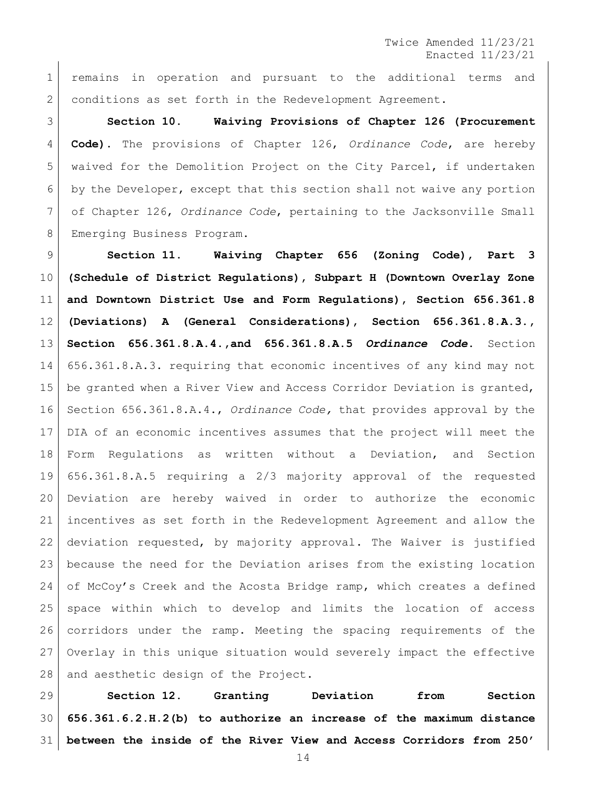remains in operation and pursuant to the additional terms and conditions as set forth in the Redevelopment Agreement.

 **Section 10. Waiving Provisions of Chapter 126 (Procurement Code).** The provisions of Chapter 126, *Ordinance Code*, are hereby waived for the Demolition Project on the City Parcel, if undertaken by the Developer, except that this section shall not waive any portion of Chapter 126, *Ordinance Code*, pertaining to the Jacksonville Small Emerging Business Program.

 **Section 11. Waiving Chapter 656 (Zoning Code), Part 3 (Schedule of District Regulations), Subpart H (Downtown Overlay Zone and Downtown District Use and Form Regulations), Section 656.361.8 (Deviations) A (General Considerations), Section 656.361.8.A.3., Section 656.361.8.A.4.,and 656.361.8.A.5** *Ordinance Code***.** Section 656.361.8.A.3. requiring that economic incentives of any kind may not be granted when a River View and Access Corridor Deviation is granted, Section 656.361.8.A.4., *Ordinance Code,* that provides approval by the DIA of an economic incentives assumes that the project will meet the Form Regulations as written without a Deviation, and Section 656.361.8.A.5 requiring a 2/3 majority approval of the requested Deviation are hereby waived in order to authorize the economic incentives as set forth in the Redevelopment Agreement and allow the deviation requested, by majority approval. The Waiver is justified because the need for the Deviation arises from the existing location of McCoy's Creek and the Acosta Bridge ramp, which creates a defined space within which to develop and limits the location of access corridors under the ramp. Meeting the spacing requirements of the Overlay in this unique situation would severely impact the effective 28 and aesthetic design of the Project.

 **Section 12. Granting Deviation from Section 656.361.6.2.H.2(b) to authorize an increase of the maximum distance between the inside of the River View and Access Corridors from 250'**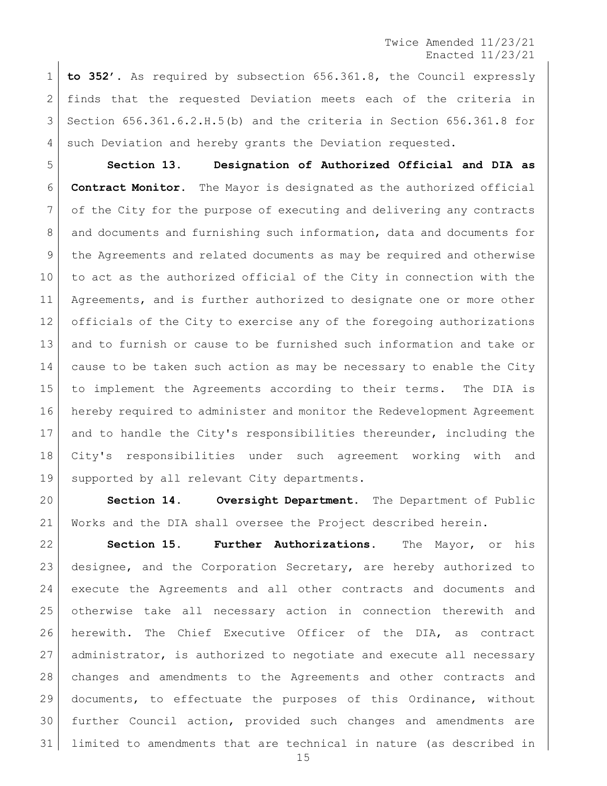**to 352'.** As required by subsection 656.361.8, the Council expressly finds that the requested Deviation meets each of the criteria in Section 656.361.6.2.H.5(b) and the criteria in Section 656.361.8 for 4 such Deviation and hereby grants the Deviation requested.

 **Section 13. Designation of Authorized Official and DIA as Contract Monitor.** The Mayor is designated as the authorized official 7 of the City for the purpose of executing and delivering any contracts 8 and documents and furnishing such information, data and documents for the Agreements and related documents as may be required and otherwise to act as the authorized official of the City in connection with the Agreements, and is further authorized to designate one or more other officials of the City to exercise any of the foregoing authorizations and to furnish or cause to be furnished such information and take or cause to be taken such action as may be necessary to enable the City to implement the Agreements according to their terms. The DIA is hereby required to administer and monitor the Redevelopment Agreement and to handle the City's responsibilities thereunder, including the City's responsibilities under such agreement working with and 19 | supported by all relevant City departments.

 **Section 14. Oversight Department.** The Department of Public Works and the DIA shall oversee the Project described herein.

 **Section 15. Further Authorizations.** The Mayor, or his designee, and the Corporation Secretary, are hereby authorized to execute the Agreements and all other contracts and documents and otherwise take all necessary action in connection therewith and herewith. The Chief Executive Officer of the DIA, as contract administrator, is authorized to negotiate and execute all necessary changes and amendments to the Agreements and other contracts and documents, to effectuate the purposes of this Ordinance, without further Council action, provided such changes and amendments are limited to amendments that are technical in nature (as described in